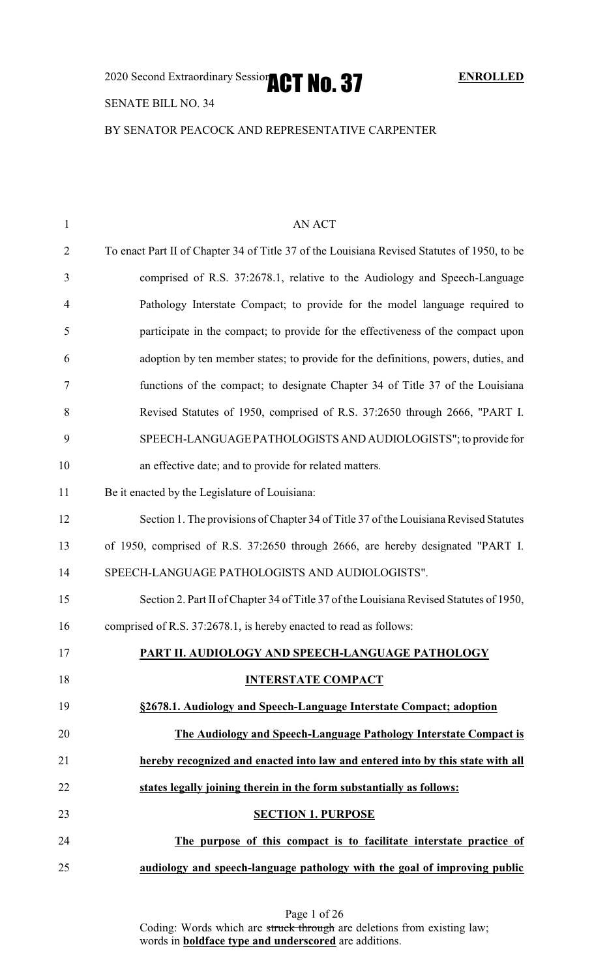2020 Second Extraordinary Session **ACT No. 37** ENROLLED

## SENATE BILL NO. 34

BY SENATOR PEACOCK AND REPRESENTATIVE CARPENTER

| 1              | AN ACT                                                                                      |
|----------------|---------------------------------------------------------------------------------------------|
| $\overline{2}$ | To enact Part II of Chapter 34 of Title 37 of the Louisiana Revised Statutes of 1950, to be |
| 3              | comprised of R.S. 37:2678.1, relative to the Audiology and Speech-Language                  |
| $\overline{4}$ | Pathology Interstate Compact; to provide for the model language required to                 |
| 5              | participate in the compact; to provide for the effectiveness of the compact upon            |
| 6              | adoption by ten member states; to provide for the definitions, powers, duties, and          |
| 7              | functions of the compact; to designate Chapter 34 of Title 37 of the Louisiana              |
| 8              | Revised Statutes of 1950, comprised of R.S. 37:2650 through 2666, "PART I.                  |
| 9              | SPEECH-LANGUAGE PATHOLOGISTS AND AUDIOLOGISTS"; to provide for                              |
| 10             | an effective date; and to provide for related matters.                                      |
| 11             | Be it enacted by the Legislature of Louisiana:                                              |
| 12             | Section 1. The provisions of Chapter 34 of Title 37 of the Louisiana Revised Statutes       |
| 13             | of 1950, comprised of R.S. 37:2650 through 2666, are hereby designated "PART I.             |
| 14             | SPEECH-LANGUAGE PATHOLOGISTS AND AUDIOLOGISTS".                                             |
| 15             | Section 2. Part II of Chapter 34 of Title 37 of the Louisiana Revised Statutes of 1950,     |
| 16             | comprised of R.S. 37:2678.1, is hereby enacted to read as follows:                          |
| 17             | PART II. AUDIOLOGY AND SPEECH-LANGUAGE PATHOLOGY                                            |
| 18             | <b>INTERSTATE COMPACT</b>                                                                   |
| 19             | §2678.1. Audiology and Speech-Language Interstate Compact; adoption                         |
| 20             | The Audiology and Speech-Language Pathology Interstate Compact is                           |
| 21             | hereby recognized and enacted into law and entered into by this state with all              |
| 22             | states legally joining therein in the form substantially as follows:                        |
| 23             | <b>SECTION 1. PURPOSE</b>                                                                   |
| 24             | The purpose of this compact is to facilitate interstate practice of                         |
| 25             | audiology and speech-language pathology with the goal of improving public                   |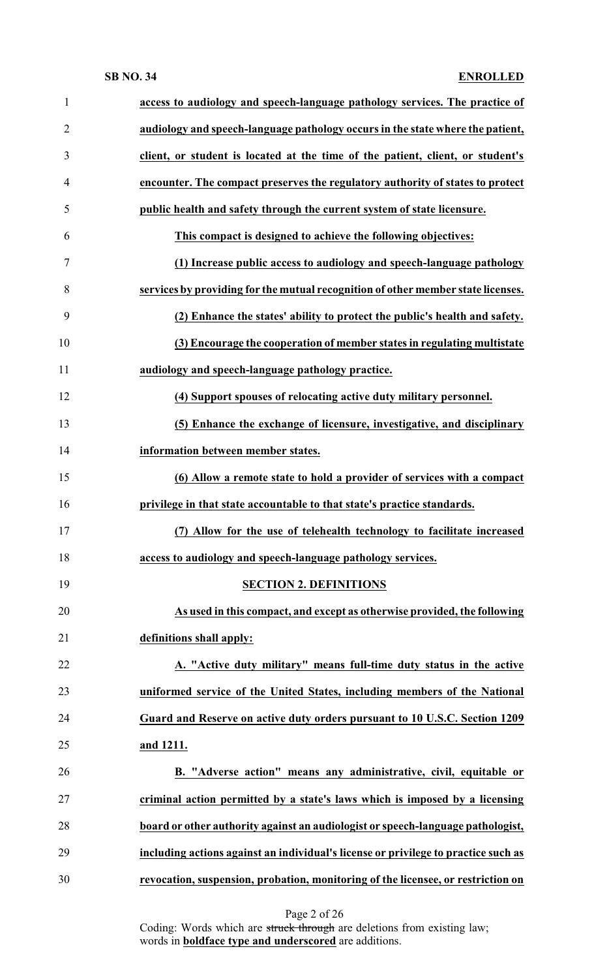| $\mathbf{1}$   | access to audiology and speech-language pathology services. The practice of        |
|----------------|------------------------------------------------------------------------------------|
| $\overline{2}$ | audiology and speech-language pathology occurs in the state where the patient,     |
| 3              | client, or student is located at the time of the patient, client, or student's     |
| $\overline{4}$ | encounter. The compact preserves the regulatory authority of states to protect     |
| 5              | public health and safety through the current system of state licensure.            |
| 6              | This compact is designed to achieve the following objectives:                      |
| 7              | (1) Increase public access to audiology and speech-language pathology              |
| 8              | services by providing for the mutual recognition of other member state licenses.   |
| 9              | (2) Enhance the states' ability to protect the public's health and safety.         |
| 10             | (3) Encourage the cooperation of member states in regulating multistate            |
| 11             | audiology and speech-language pathology practice.                                  |
| 12             | (4) Support spouses of relocating active duty military personnel.                  |
| 13             | (5) Enhance the exchange of licensure, investigative, and disciplinary             |
| 14             | information between member states.                                                 |
| 15             | (6) Allow a remote state to hold a provider of services with a compact             |
| 16             | privilege in that state accountable to that state's practice standards.            |
| 17             | (7) Allow for the use of telehealth technology to facilitate increased             |
| 18             | access to audiology and speech-language pathology services.                        |
| 19             | <b>SECTION 2. DEFINITIONS</b>                                                      |
| 20             | As used in this compact, and except as otherwise provided, the following           |
| 21             | definitions shall apply:                                                           |
| 22             | A. "Active duty military" means full-time duty status in the active                |
| 23             | uniformed service of the United States, including members of the National          |
| 24             | Guard and Reserve on active duty orders pursuant to 10 U.S.C. Section 1209         |
| 25             | and 1211.                                                                          |
| 26             | B. "Adverse action" means any administrative, civil, equitable or                  |
| 27             | criminal action permitted by a state's laws which is imposed by a licensing        |
| 28             | board or other authority against an audiologist or speech-language pathologist,    |
| 29             | including actions against an individual's license or privilege to practice such as |
| 30             | revocation, suspension, probation, monitoring of the licensee, or restriction on   |
|                |                                                                                    |

Page 2 of 26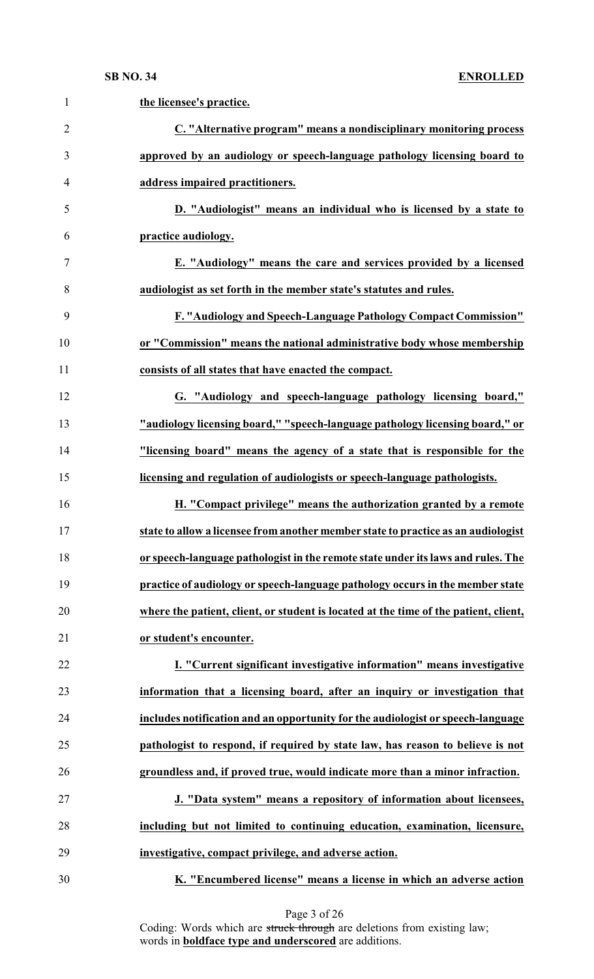| $\mathbf{1}$   | the licensee's practice.                                                             |
|----------------|--------------------------------------------------------------------------------------|
| $\overline{2}$ | C. "Alternative program" means a nondisciplinary monitoring process                  |
| 3              | approved by an audiology or speech-language pathology licensing board to             |
| $\overline{4}$ | address impaired practitioners.                                                      |
| 5              | D. "Audiologist" means an individual who is licensed by a state to                   |
| 6              | practice audiology.                                                                  |
| 7              | E. "Audiology" means the care and services provided by a licensed                    |
| 8              | audiologist as set forth in the member state's statutes and rules.                   |
| 9              | F. "Audiology and Speech-Language Pathology Compact Commission"                      |
| 10             | or "Commission" means the national administrative body whose membership              |
| 11             | consists of all states that have enacted the compact.                                |
| 12             | G. "Audiology and speech-language pathology licensing board,"                        |
| 13             | "audiology licensing board," "speech-language pathology licensing board," or         |
| 14             | "licensing board" means the agency of a state that is responsible for the            |
| 15             | licensing and regulation of audiologists or speech-language pathologists.            |
| 16             | H. "Compact privilege" means the authorization granted by a remote                   |
| 17             | state to allow a licensee from another member state to practice as an audiologist    |
| 18             | or speech-language pathologist in the remote state under its laws and rules. The     |
| 19             | practice of audiology or speech-language pathology occurs in the member state        |
| 20             | where the patient, client, or student is located at the time of the patient, client, |
| 21             | or student's encounter.                                                              |
| 22             | I. "Current significant investigative information" means investigative               |
| 23             | information that a licensing board, after an inquiry or investigation that           |
| 24             | includes notification and an opportunity for the audiologist or speech-language      |
| 25             | pathologist to respond, if required by state law, has reason to believe is not       |
| 26             | groundless and, if proved true, would indicate more than a minor infraction.         |
| 27             | J. "Data system" means a repository of information about licensees,                  |
| 28             | including but not limited to continuing education, examination, licensure,           |
| 29             | investigative, compact privilege, and adverse action.                                |
| 30             | K. "Encumbered license" means a license in which an adverse action                   |

Page 3 of 26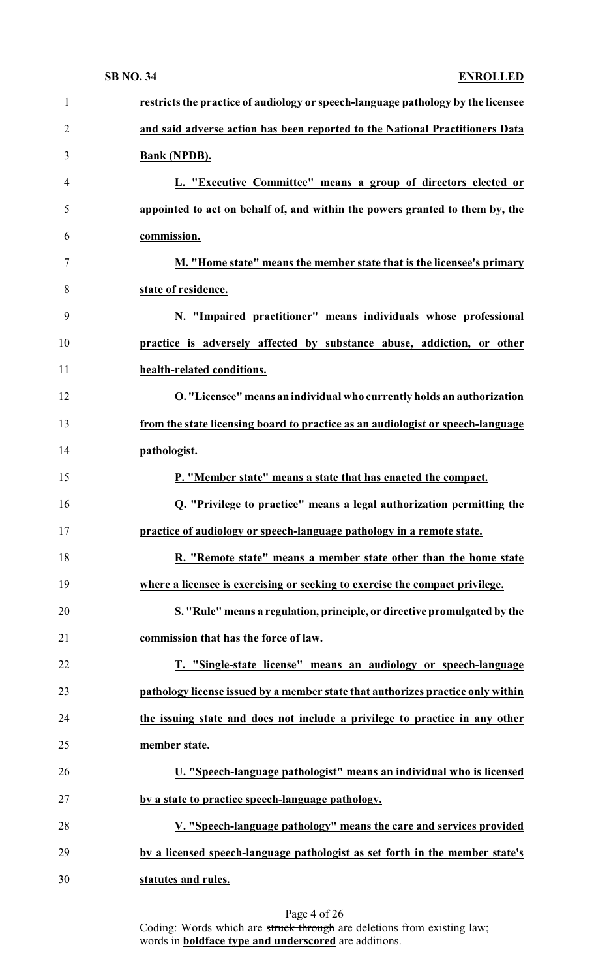| $\mathbf{1}$   | restricts the practice of audiology or speech-language pathology by the licensee |
|----------------|----------------------------------------------------------------------------------|
| $\overline{2}$ | and said adverse action has been reported to the National Practitioners Data     |
| 3              | <b>Bank (NPDB).</b>                                                              |
| $\overline{4}$ | L. "Executive Committee" means a group of directors elected or                   |
| 5              | appointed to act on behalf of, and within the powers granted to them by, the     |
| 6              | commission.                                                                      |
| $\overline{7}$ | M. "Home state" means the member state that is the licensee's primary            |
| 8              | state of residence.                                                              |
| 9              | N. "Impaired practitioner" means individuals whose professional                  |
| 10             | practice is adversely affected by substance abuse, addiction, or other           |
| 11             | health-related conditions.                                                       |
| 12             | O. "Licensee" means an individual who currently holds an authorization           |
| 13             | from the state licensing board to practice as an audiologist or speech-language  |
| 14             | pathologist.                                                                     |
| 15             | P. "Member state" means a state that has enacted the compact.                    |
| 16             | Q. "Privilege to practice" means a legal authorization permitting the            |
| 17             | practice of audiology or speech-language pathology in a remote state.            |
| 18             | R. "Remote state" means a member state other than the home state                 |
| 19             | where a licensee is exercising or seeking to exercise the compact privilege.     |
| 20             | S. "Rule" means a regulation, principle, or directive promulgated by the         |
| 21             | commission that has the force of law.                                            |
| 22             | T. "Single-state license" means an audiology or speech-language                  |
| 23             | pathology license issued by a member state that authorizes practice only within  |
| 24             | the issuing state and does not include a privilege to practice in any other      |
| 25             | member state.                                                                    |
| 26             | U. "Speech-language pathologist" means an individual who is licensed             |
| 27             | by a state to practice speech-language pathology.                                |
| 28             | V. "Speech-language pathology" means the care and services provided              |
| 29             | by a licensed speech-language pathologist as set forth in the member state's     |
| 30             | statutes and rules.                                                              |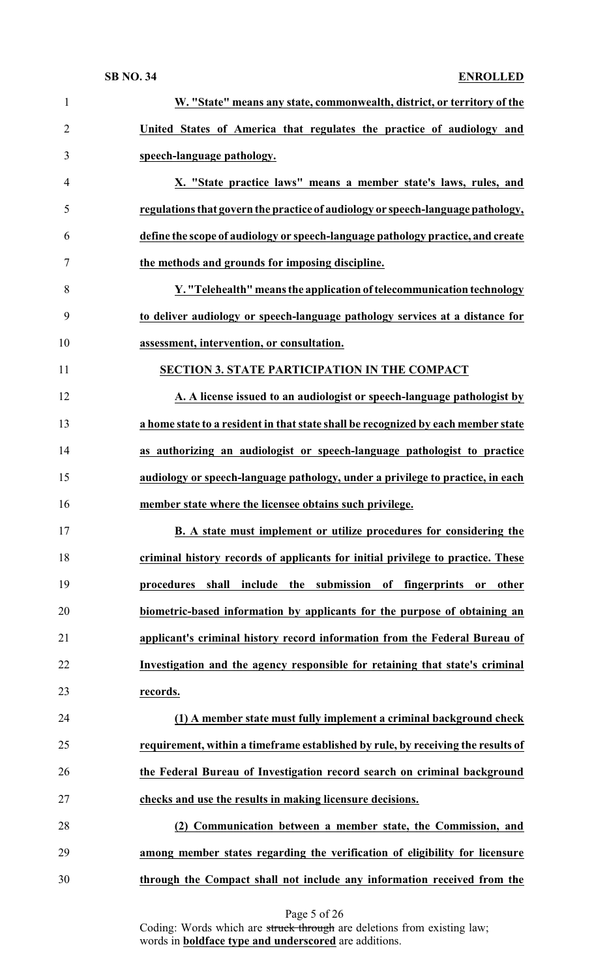| $\mathbf{1}$   | W. "State" means any state, commonwealth, district, or territory of the                   |
|----------------|-------------------------------------------------------------------------------------------|
| $\overline{2}$ | United States of America that regulates the practice of audiology and                     |
| 3              | speech-language pathology.                                                                |
| $\overline{4}$ | X. "State practice laws" means a member state's laws, rules, and                          |
| 5              | regulations that govern the practice of audiology or speech-language pathology,           |
| 6              | define the scope of audiology or speech-language pathology practice, and create           |
| $\tau$         | the methods and grounds for imposing discipline.                                          |
| 8              | Y. "Telehealth" means the application of telecommunication technology                     |
| 9              | to deliver audiology or speech-language pathology services at a distance for              |
| 10             | assessment, intervention, or consultation.                                                |
| 11             | <b>SECTION 3. STATE PARTICIPATION IN THE COMPACT</b>                                      |
| 12             | A. A license issued to an audiologist or speech-language pathologist by                   |
| 13             | a home state to a resident in that state shall be recognized by each member state         |
| 14             | as authorizing an audiologist or speech-language pathologist to practice                  |
| 15             | audiology or speech-language pathology, under a privilege to practice, in each            |
| 16             | member state where the licensee obtains such privilege.                                   |
| 17             | B. A state must implement or utilize procedures for considering the                       |
| 18             | criminal history records of applicants for initial privilege to practice. These           |
| 19             | the submission<br>procedures<br>shall<br>include<br>of fingerprints<br>other<br><b>or</b> |
| 20             | biometric-based information by applicants for the purpose of obtaining an                 |
| 21             | applicant's criminal history record information from the Federal Bureau of                |
| 22             | Investigation and the agency responsible for retaining that state's criminal              |
| 23             | records.                                                                                  |
| 24             | (1) A member state must fully implement a criminal background check                       |
| 25             | requirement, within a timeframe established by rule, by receiving the results of          |
| 26             | the Federal Bureau of Investigation record search on criminal background                  |
| 27             | checks and use the results in making licensure decisions.                                 |
| 28             | (2) Communication between a member state, the Commission, and                             |
| 29             | among member states regarding the verification of eligibility for licensure               |
| 30             | through the Compact shall not include any information received from the                   |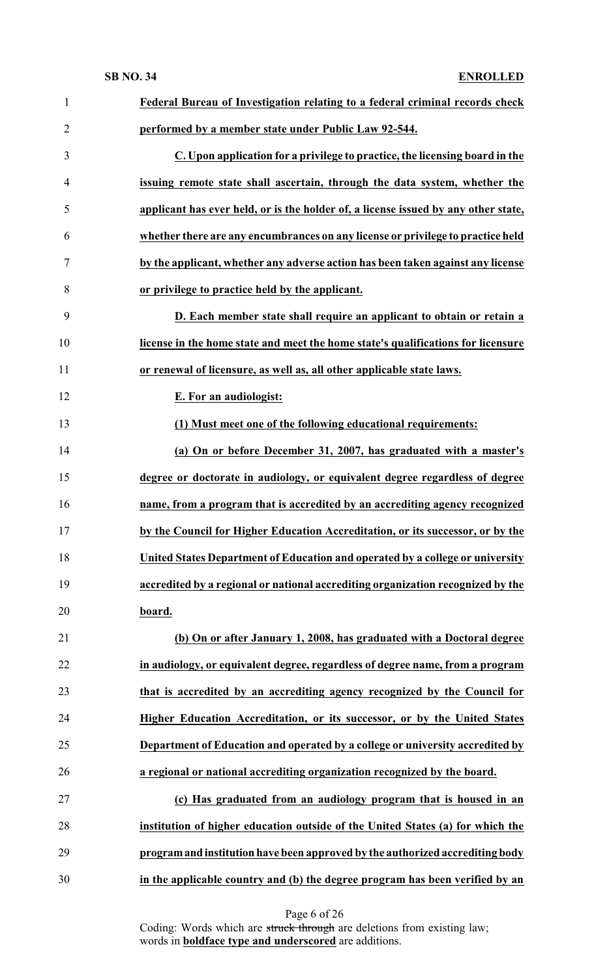| $\mathbf{1}$   | Federal Bureau of Investigation relating to a federal criminal records check       |
|----------------|------------------------------------------------------------------------------------|
| $\overline{2}$ | performed by a member state under Public Law 92-544.                               |
| 3              | C. Upon application for a privilege to practice, the licensing board in the        |
| $\overline{4}$ | issuing remote state shall ascertain, through the data system, whether the         |
| 5              | applicant has ever held, or is the holder of, a license issued by any other state, |
| 6              | whether there are any encumbrances on any license or privilege to practice held    |
| 7              | by the applicant, whether any adverse action has been taken against any license    |
| 8              | or privilege to practice held by the applicant.                                    |
| 9              | D. Each member state shall require an applicant to obtain or retain a              |
| 10             | license in the home state and meet the home state's qualifications for licensure   |
| 11             | or renewal of licensure, as well as, all other applicable state laws.              |
| 12             | <b>E. For an audiologist:</b>                                                      |
| 13             | (1) Must meet one of the following educational requirements:                       |
| 14             | (a) On or before December 31, 2007, has graduated with a master's                  |
| 15             | degree or doctorate in audiology, or equivalent degree regardless of degree        |
| 16             | name, from a program that is accredited by an accrediting agency recognized        |
| 17             | by the Council for Higher Education Accreditation, or its successor, or by the     |
| 18             | United States Department of Education and operated by a college or university      |
| 19             | accredited by a regional or national accrediting organization recognized by the    |
| 20             | board.                                                                             |
| 21             | (b) On or after January 1, 2008, has graduated with a Doctoral degree              |
| 22             | in audiology, or equivalent degree, regardless of degree name, from a program      |
| 23             | that is accredited by an accrediting agency recognized by the Council for          |
| 24             | Higher Education Accreditation, or its successor, or by the United States          |
| 25             | Department of Education and operated by a college or university accredited by      |
| 26             | a regional or national accrediting organization recognized by the board.           |
| 27             | (c) Has graduated from an audiology program that is housed in an                   |
| 28             | institution of higher education outside of the United States (a) for which the     |
| 29             | program and institution have been approved by the authorized accrediting body      |
| 30             | in the applicable country and (b) the degree program has been verified by an       |

Page 6 of 26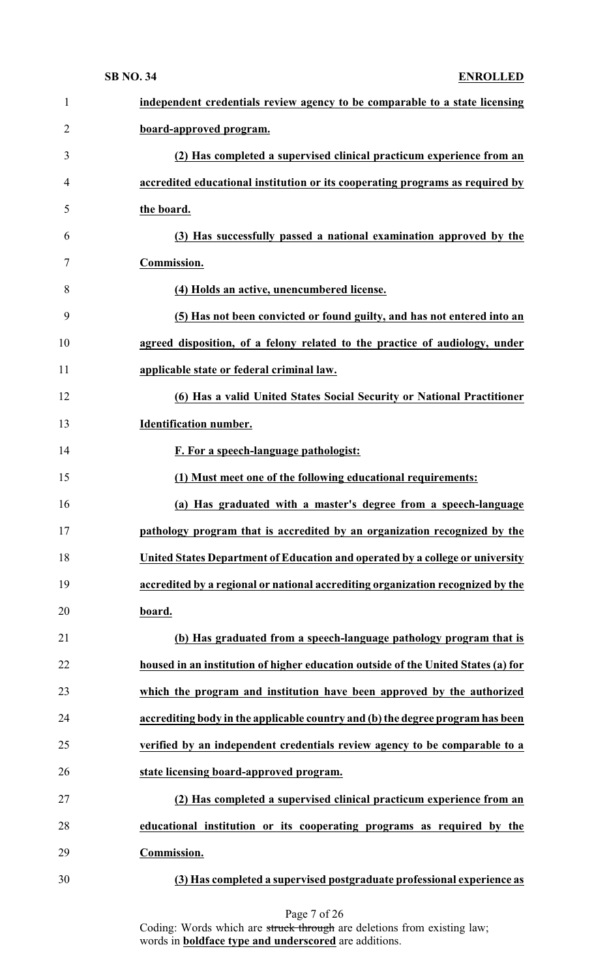| $\mathbf{1}$   | independent credentials review agency to be comparable to a state licensing       |
|----------------|-----------------------------------------------------------------------------------|
| $\overline{2}$ | board-approved program.                                                           |
| 3              | (2) Has completed a supervised clinical practicum experience from an              |
| $\overline{4}$ | accredited educational institution or its cooperating programs as required by     |
| 5              | the board.                                                                        |
| 6              | (3) Has successfully passed a national examination approved by the                |
| 7              | Commission.                                                                       |
| 8              | (4) Holds an active, unencumbered license.                                        |
| 9              | (5) Has not been convicted or found guilty, and has not entered into an           |
| 10             | agreed disposition, of a felony related to the practice of audiology, under       |
| 11             | applicable state or federal criminal law.                                         |
| 12             | (6) Has a valid United States Social Security or National Practitioner            |
| 13             | <b>Identification number.</b>                                                     |
| 14             | F. For a speech-language pathologist:                                             |
| 15             | (1) Must meet one of the following educational requirements:                      |
| 16             | (a) Has graduated with a master's degree from a speech-language                   |
| 17             | pathology program that is accredited by an organization recognized by the         |
| 18             | United States Department of Education and operated by a college or university     |
| 19             | accredited by a regional or national accrediting organization recognized by the   |
| 20             | board.                                                                            |
| 21             | (b) Has graduated from a speech-language pathology program that is                |
| 22             | housed in an institution of higher education outside of the United States (a) for |
| 23             | which the program and institution have been approved by the authorized            |
| 24             | accrediting body in the applicable country and (b) the degree program has been    |
| 25             | verified by an independent credentials review agency to be comparable to a        |
| 26             | state licensing board-approved program.                                           |
| 27             | (2) Has completed a supervised clinical practicum experience from an              |
| 28             | educational institution or its cooperating programs as required by the            |
| 29             | Commission.                                                                       |
|                |                                                                                   |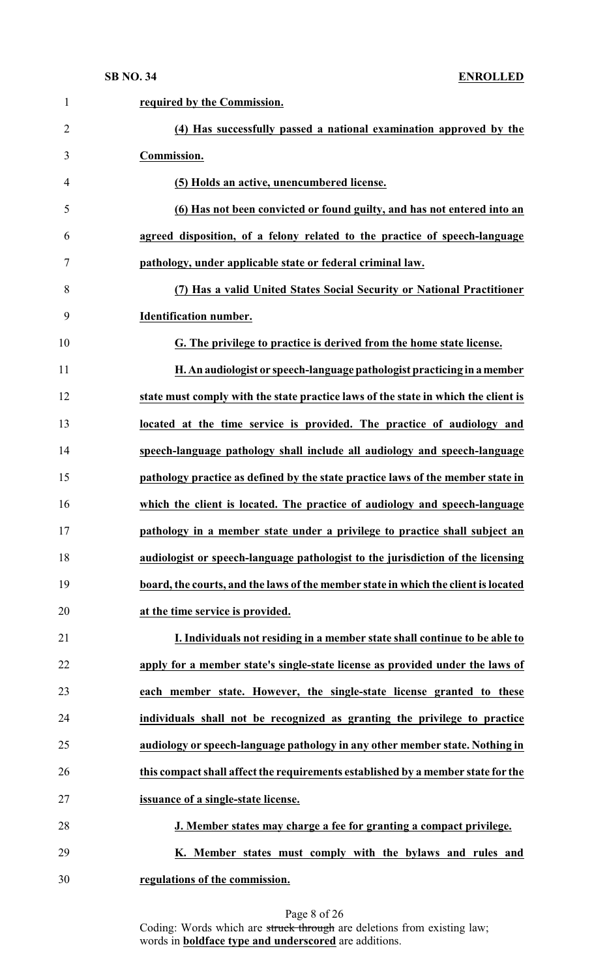| $\mathbf{1}$   | required by the Commission.                                                        |
|----------------|------------------------------------------------------------------------------------|
| $\overline{2}$ | (4) Has successfully passed a national examination approved by the                 |
| 3              | Commission.                                                                        |
| 4              | (5) Holds an active, unencumbered license.                                         |
| 5              | (6) Has not been convicted or found guilty, and has not entered into an            |
| 6              | agreed disposition, of a felony related to the practice of speech-language         |
| 7              | pathology, under applicable state or federal criminal law.                         |
| 8              | (7) Has a valid United States Social Security or National Practitioner             |
| 9              | <b>Identification number.</b>                                                      |
| 10             | G. The privilege to practice is derived from the home state license.               |
| 11             | H. An audiologist or speech-language pathologist practicing in a member            |
| 12             | state must comply with the state practice laws of the state in which the client is |
| 13             | located at the time service is provided. The practice of audiology and             |
| 14             | speech-language pathology shall include all audiology and speech-language          |
| 15             | pathology practice as defined by the state practice laws of the member state in    |
| 16             | which the client is located. The practice of audiology and speech-language         |
| 17             | pathology in a member state under a privilege to practice shall subject an         |
| 18             | audiologist or speech-language pathologist to the jurisdiction of the licensing    |
| 19             | board, the courts, and the laws of the member state in which the client is located |
| 20             | at the time service is provided.                                                   |
| 21             | I. Individuals not residing in a member state shall continue to be able to         |
| 22             | apply for a member state's single-state license as provided under the laws of      |
| 23             | each member state. However, the single-state license granted to these              |
| 24             | individuals shall not be recognized as granting the privilege to practice          |
| 25             | audiology or speech-language pathology in any other member state. Nothing in       |
| 26             | this compact shall affect the requirements established by a member state for the   |
| 27             | issuance of a single-state license.                                                |
| 28             | J. Member states may charge a fee for granting a compact privilege.                |
| 29             | K. Member states must comply with the bylaws and rules and                         |
| 30             | regulations of the commission.                                                     |
|                |                                                                                    |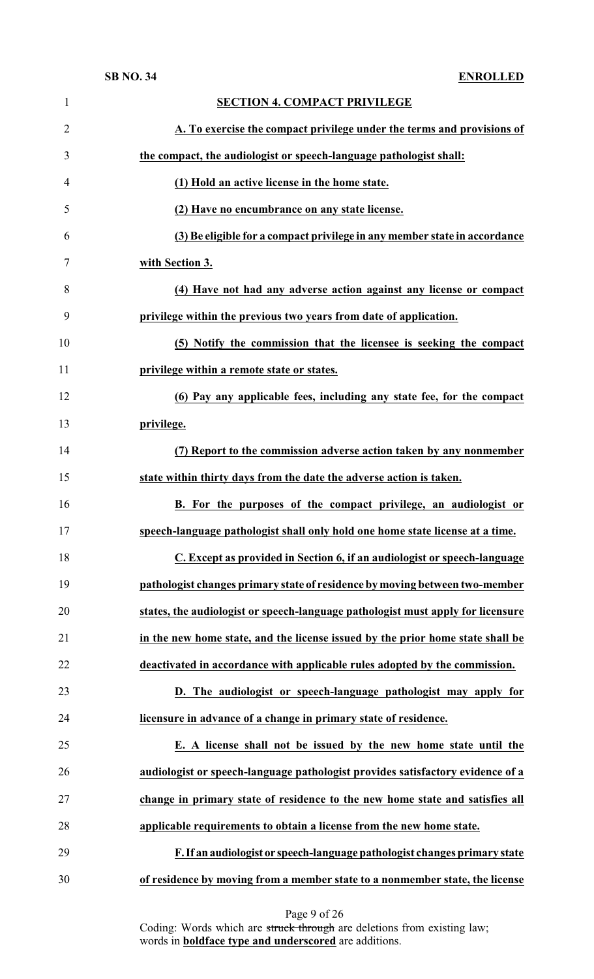| $\mathbf{1}$   | <b>SECTION 4. COMPACT PRIVILEGE</b>                                             |
|----------------|---------------------------------------------------------------------------------|
| $\overline{2}$ | A. To exercise the compact privilege under the terms and provisions of          |
| 3              | the compact, the audiologist or speech-language pathologist shall:              |
| 4              | (1) Hold an active license in the home state.                                   |
| 5              | (2) Have no encumbrance on any state license.                                   |
| 6              | (3) Be eligible for a compact privilege in any member state in accordance       |
| 7              | with Section 3.                                                                 |
| 8              | (4) Have not had any adverse action against any license or compact              |
| 9              | privilege within the previous two years from date of application.               |
| 10             | (5) Notify the commission that the licensee is seeking the compact              |
| 11             | privilege within a remote state or states.                                      |
| 12             | (6) Pay any applicable fees, including any state fee, for the compact           |
| 13             | privilege.                                                                      |
| 14             | (7) Report to the commission adverse action taken by any nonmember              |
| 15             | state within thirty days from the date the adverse action is taken.             |
| 16             | B. For the purposes of the compact privilege, an audiologist or                 |
| 17             | speech-language pathologist shall only hold one home state license at a time    |
| 18             | C. Except as provided in Section 6, if an audiologist or speech-language        |
| 19             | pathologist changes primary state of residence by moving between two-member     |
| 20             | states, the audiologist or speech-language pathologist must apply for licensure |
| 21             | in the new home state, and the license issued by the prior home state shall be  |
| 22             | deactivated in accordance with applicable rules adopted by the commission.      |
| 23             | D. The audiologist or speech-language pathologist may apply for                 |
| 24             | licensure in advance of a change in primary state of residence.                 |
| 25             | E. A license shall not be issued by the new home state until the                |
| 26             | audiologist or speech-language pathologist provides satisfactory evidence of a  |
| 27             | change in primary state of residence to the new home state and satisfies all    |
| 28             | applicable requirements to obtain a license from the new home state.            |
| 29             | F. If an audiologist or speech-language pathologist changes primary state       |
| 30             | of residence by moving from a member state to a nonmember state, the license    |

### Page 9 of 26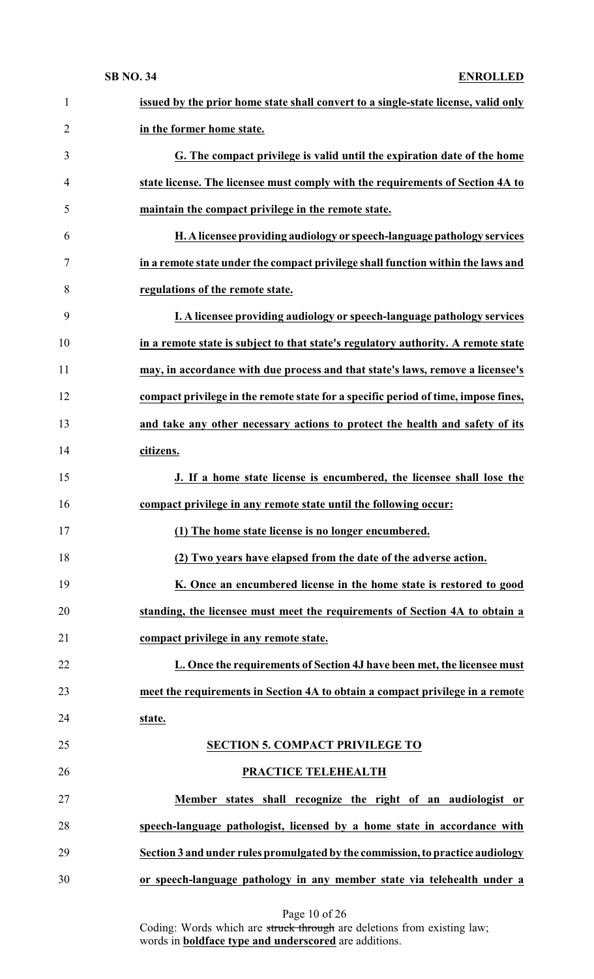| $\mathbf{1}$   | issued by the prior home state shall convert to a single-state license, valid only |
|----------------|------------------------------------------------------------------------------------|
| $\overline{2}$ | in the former home state.                                                          |
| 3              | G. The compact privilege is valid until the expiration date of the home            |
| $\overline{4}$ | state license. The licensee must comply with the requirements of Section 4A to     |
| 5              | maintain the compact privilege in the remote state.                                |
| 6              | H. A licensee providing audiology or speech-language pathology services            |
| 7              | in a remote state under the compact privilege shall function within the laws and   |
| 8              | regulations of the remote state.                                                   |
| 9              | I. A licensee providing audiology or speech-language pathology services            |
| 10             | in a remote state is subject to that state's regulatory authority. A remote state  |
| 11             | may, in accordance with due process and that state's laws, remove a licensee's     |
| 12             | compact privilege in the remote state for a specific period of time, impose fines, |
| 13             | and take any other necessary actions to protect the health and safety of its       |
| 14             | citizens.                                                                          |
| 15             | J. If a home state license is encumbered, the licensee shall lose the              |
| 16             | compact privilege in any remote state until the following occur:                   |
| 17             | (1) The home state license is no longer encumbered.                                |
| 18             | (2) Two years have elapsed from the date of the adverse action.                    |
| 19             | K. Once an encumbered license in the home state is restored to good                |
| 20             | standing, the licensee must meet the requirements of Section 4A to obtain a        |
| 21             | compact privilege in any remote state.                                             |
| 22             | L. Once the requirements of Section 4J have been met, the licensee must            |
| 23             | meet the requirements in Section 4A to obtain a compact privilege in a remote      |
| 24             | state.                                                                             |
| 25             | <b>SECTION 5. COMPACT PRIVILEGE TO</b>                                             |
| 26             | <b>PRACTICE TELEHEALTH</b>                                                         |
| 27             | Member states shall recognize the right of an audiologist or                       |
| 28             | speech-language pathologist, licensed by a home state in accordance with           |
| 29             | Section 3 and under rules promulgated by the commission, to practice audiology     |
| 30             | or speech-language pathology in any member state via telehealth under a            |

Page 10 of 26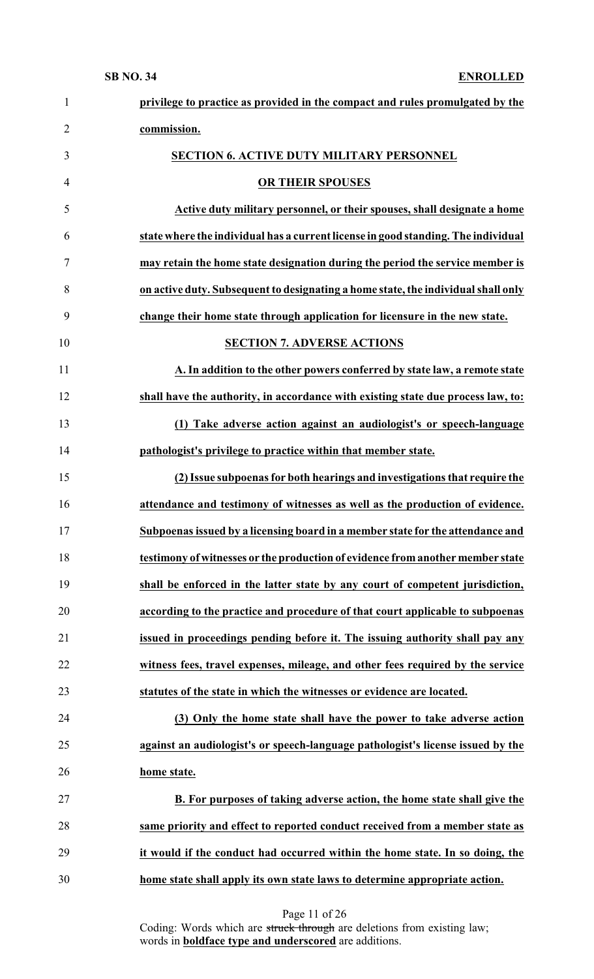| $\mathbf{1}$   | privilege to practice as provided in the compact and rules promulgated by the     |
|----------------|-----------------------------------------------------------------------------------|
| $\overline{2}$ | commission.                                                                       |
| 3              | <b>SECTION 6. ACTIVE DUTY MILITARY PERSONNEL</b>                                  |
| $\overline{4}$ | OR THEIR SPOUSES                                                                  |
| 5              | Active duty military personnel, or their spouses, shall designate a home          |
| 6              | state where the individual has a current license in good standing. The individual |
| 7              | may retain the home state designation during the period the service member is     |
| 8              | on active duty. Subsequent to designating a home state, the individual shall only |
| 9              | change their home state through application for licensure in the new state.       |
| 10             | <b>SECTION 7. ADVERSE ACTIONS</b>                                                 |
| 11             | A. In addition to the other powers conferred by state law, a remote state         |
| 12             | shall have the authority, in accordance with existing state due process law, to:  |
| 13             | (1) Take adverse action against an audiologist's or speech-language               |
| 14             | pathologist's privilege to practice within that member state.                     |
| 15             | (2) Issue subpoenas for both hearings and investigations that require the         |
| 16             | attendance and testimony of witnesses as well as the production of evidence.      |
| 17             | Subpoenas issued by a licensing board in a member state for the attendance and    |
| 18             | testimony of witnesses or the production of evidence from another member state    |
| 19             | shall be enforced in the latter state by any court of competent jurisdiction,     |
| 20             | according to the practice and procedure of that court applicable to subpoenas     |
| 21             | issued in proceedings pending before it. The issuing authority shall pay any      |
| 22             | witness fees, travel expenses, mileage, and other fees required by the service    |
| 23             | statutes of the state in which the witnesses or evidence are located.             |
| 24             | (3) Only the home state shall have the power to take adverse action               |
| 25             | against an audiologist's or speech-language pathologist's license issued by the   |
| 26             | home state.                                                                       |
| 27             | B. For purposes of taking adverse action, the home state shall give the           |
| 28             | same priority and effect to reported conduct received from a member state as      |
| 29             | it would if the conduct had occurred within the home state. In so doing, the      |
| 30             | home state shall apply its own state laws to determine appropriate action.        |

Page 11 of 26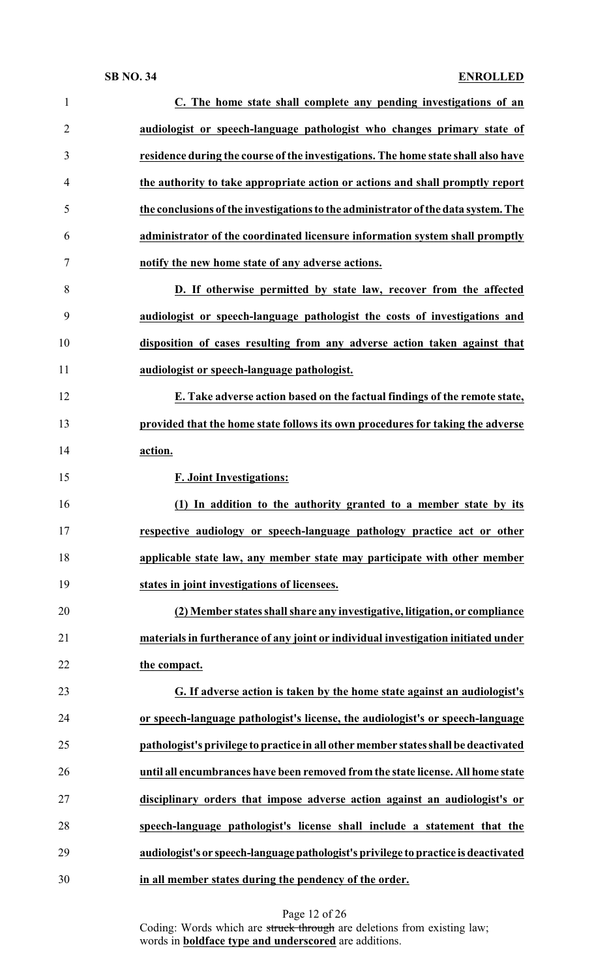| $\mathbf{1}$   | C. The home state shall complete any pending investigations of an                   |
|----------------|-------------------------------------------------------------------------------------|
| $\overline{2}$ | audiologist or speech-language pathologist who changes primary state of             |
| 3              | residence during the course of the investigations. The home state shall also have   |
| 4              | the authority to take appropriate action or actions and shall promptly report       |
| 5              | the conclusions of the investigations to the administrator of the data system. The  |
| 6              | administrator of the coordinated licensure information system shall promptly        |
| 7              | notify the new home state of any adverse actions.                                   |
| 8              | D. If otherwise permitted by state law, recover from the affected                   |
| 9              | audiologist or speech-language pathologist the costs of investigations and          |
| 10             | disposition of cases resulting from any adverse action taken against that           |
| 11             | audiologist or speech-language pathologist.                                         |
| 12             | E. Take adverse action based on the factual findings of the remote state,           |
| 13             | provided that the home state follows its own procedures for taking the adverse      |
| 14             | action.                                                                             |
| 15             | <b>F. Joint Investigations:</b>                                                     |
| 16             | (1) In addition to the authority granted to a member state by its                   |
| 17             | respective audiology or speech-language pathology practice act or other             |
| 18             | applicable state law, any member state may participate with other member            |
| 19             | states in joint investigations of licensees.                                        |
| 20             | (2) Member states shall share any investigative, litigation, or compliance          |
| 21             | materials in furtherance of any joint or individual investigation initiated under   |
| 22             | the compact.                                                                        |
| 23             | G. If adverse action is taken by the home state against an audiologist's            |
| 24             | or speech-language pathologist's license, the audiologist's or speech-language      |
| 25             | pathologist's privilege to practice in all other member states shall be deactivated |
| 26             | until all encumbrances have been removed from the state license. All home state     |
| 27             | disciplinary orders that impose adverse action against an audiologist's or          |
| 28             | speech-language pathologist's license shall include a statement that the            |
| 29             | audiologist's or speech-language pathologist's privilege to practice is deactivated |
| 30             | in all member states during the pendency of the order.                              |

Page 12 of 26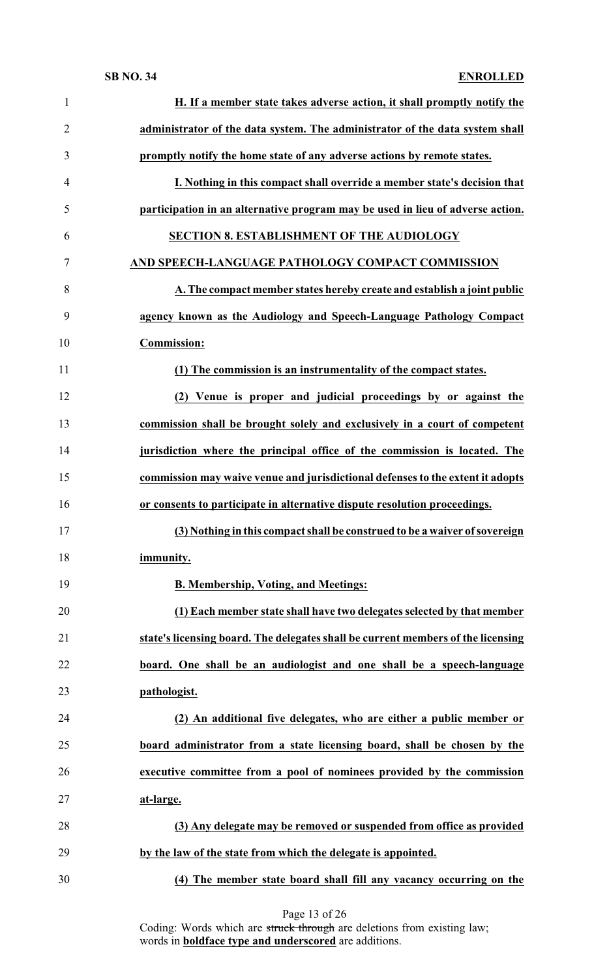| $\mathbf{1}$   | H. If a member state takes adverse action, it shall promptly notify the          |
|----------------|----------------------------------------------------------------------------------|
| $\overline{2}$ | administrator of the data system. The administrator of the data system shall     |
| 3              | promptly notify the home state of any adverse actions by remote states.          |
| $\overline{4}$ | I. Nothing in this compact shall override a member state's decision that         |
| 5              | participation in an alternative program may be used in lieu of adverse action.   |
| 6              | <b>SECTION 8. ESTABLISHMENT OF THE AUDIOLOGY</b>                                 |
| $\overline{7}$ | AND SPEECH-LANGUAGE PATHOLOGY COMPACT COMMISSION                                 |
| 8              | A. The compact member states hereby create and establish a joint public          |
| 9              | agency known as the Audiology and Speech-Language Pathology Compact              |
| 10             | <b>Commission:</b>                                                               |
| 11             | (1) The commission is an instrumentality of the compact states.                  |
| 12             | (2) Venue is proper and judicial proceedings by or against the                   |
| 13             | commission shall be brought solely and exclusively in a court of competent       |
| 14             | jurisdiction where the principal office of the commission is located. The        |
| 15             | commission may waive venue and jurisdictional defenses to the extent it adopts   |
| 16             | or consents to participate in alternative dispute resolution proceedings.        |
| 17             | (3) Nothing in this compact shall be construed to be a waiver of sovereign       |
| 18             | immunity.                                                                        |
| 19             | <b>B. Membership, Voting, and Meetings:</b>                                      |
| 20             | (1) Each member state shall have two delegates selected by that member           |
| 21             | state's licensing board. The delegates shall be current members of the licensing |
| 22             | board. One shall be an audiologist and one shall be a speech-language            |
| 23             | pathologist.                                                                     |
| 24             | (2) An additional five delegates, who are either a public member or              |
| 25             | board administrator from a state licensing board, shall be chosen by the         |
| 26             | executive committee from a pool of nominees provided by the commission           |
| 27             | at-large.                                                                        |
| 28             | (3) Any delegate may be removed or suspended from office as provided             |
| 29             | by the law of the state from which the delegate is appointed.                    |
| 30             | (4) The member state board shall fill any vacancy occurring on the               |

Page 13 of 26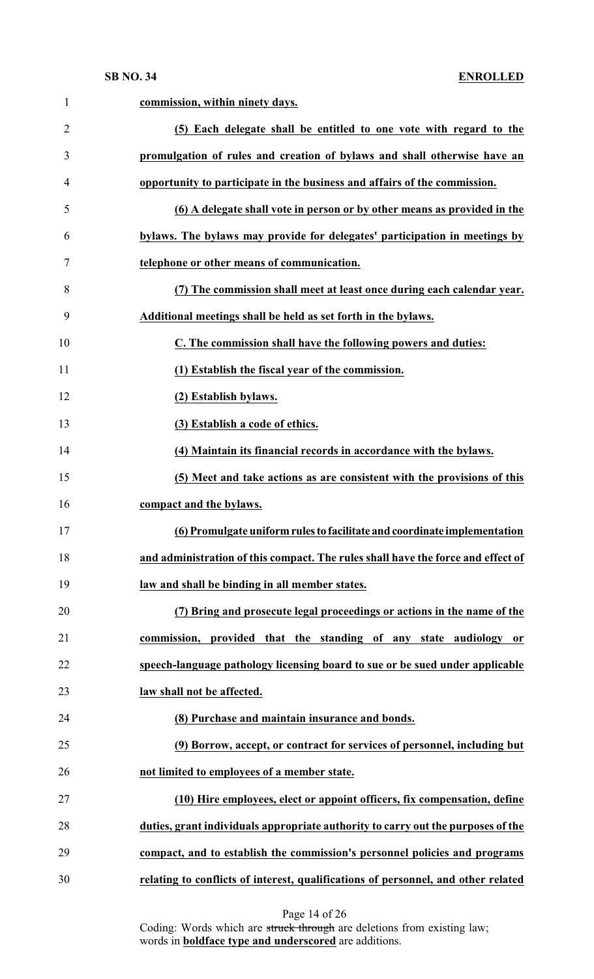| $\mathbf{1}$   | commission, within ninety days.                                                   |
|----------------|-----------------------------------------------------------------------------------|
| $\overline{2}$ | (5) Each delegate shall be entitled to one vote with regard to the                |
| 3              | promulgation of rules and creation of bylaws and shall otherwise have an          |
| 4              | opportunity to participate in the business and affairs of the commission.         |
| 5              | (6) A delegate shall vote in person or by other means as provided in the          |
| 6              | bylaws. The bylaws may provide for delegates' participation in meetings by        |
| 7              | telephone or other means of communication.                                        |
| 8              | (7) The commission shall meet at least once during each calendar year.            |
| 9              | Additional meetings shall be held as set forth in the bylaws.                     |
| 10             | C. The commission shall have the following powers and duties:                     |
| 11             | (1) Establish the fiscal year of the commission.                                  |
| 12             | (2) Establish bylaws.                                                             |
| 13             | (3) Establish a code of ethics.                                                   |
| 14             | (4) Maintain its financial records in accordance with the bylaws.                 |
| 15             | (5) Meet and take actions as are consistent with the provisions of this           |
| 16             | compact and the bylaws.                                                           |
| 17             | (6) Promulgate uniform rules to facilitate and coordinate implementation          |
| 18             | and administration of this compact. The rules shall have the force and effect of  |
| 19             | law and shall be binding in all member states.                                    |
| 20             | (7) Bring and prosecute legal proceedings or actions in the name of the           |
| 21             | commission, provided that the standing of any state audiology or                  |
| 22             | speech-language pathology licensing board to sue or be sued under applicable      |
| 23             | law shall not be affected.                                                        |
| 24             | (8) Purchase and maintain insurance and bonds.                                    |
| 25             | (9) Borrow, accept, or contract for services of personnel, including but          |
| 26             | not limited to employees of a member state.                                       |
| 27             | (10) Hire employees, elect or appoint officers, fix compensation, define          |
| 28             | duties, grant individuals appropriate authority to carry out the purposes of the  |
| 29             | compact, and to establish the commission's personnel policies and programs        |
| 30             | relating to conflicts of interest, qualifications of personnel, and other related |

Page 14 of 26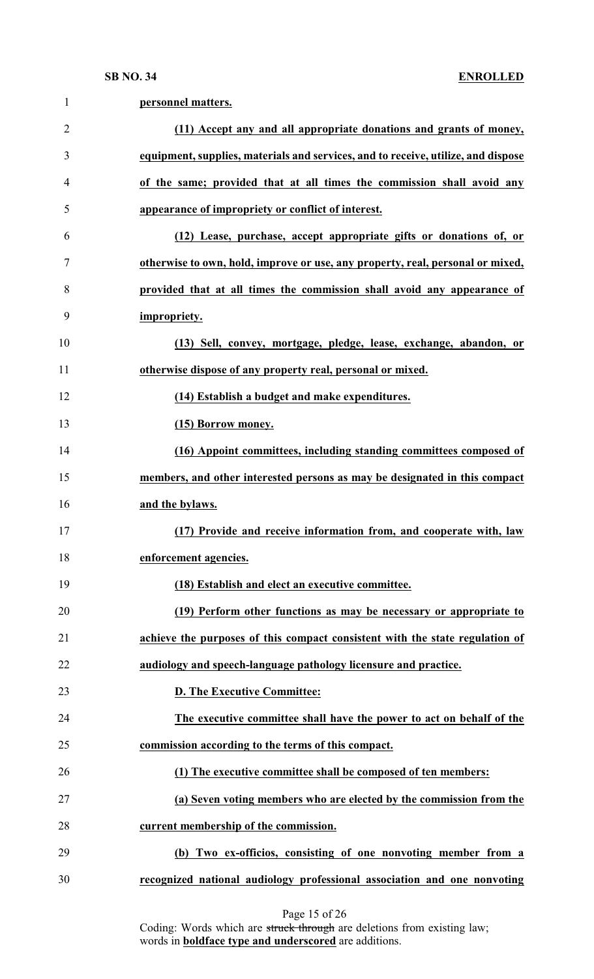| $\mathbf{1}$   | personnel matters.                                                                |
|----------------|-----------------------------------------------------------------------------------|
| $\overline{2}$ | (11) Accept any and all appropriate donations and grants of money,                |
| 3              | equipment, supplies, materials and services, and to receive, utilize, and dispose |
| 4              | of the same; provided that at all times the commission shall avoid any            |
| 5              | appearance of impropriety or conflict of interest.                                |
| 6              | (12) Lease, purchase, accept appropriate gifts or donations of, or                |
| 7              | otherwise to own, hold, improve or use, any property, real, personal or mixed,    |
| 8              | provided that at all times the commission shall avoid any appearance of           |
| 9              | impropriety.                                                                      |
| 10             | (13) Sell, convey, mortgage, pledge, lease, exchange, abandon, or                 |
| 11             | otherwise dispose of any property real, personal or mixed.                        |
| 12             | (14) Establish a budget and make expenditures.                                    |
| 13             | (15) Borrow money.                                                                |
| 14             | (16) Appoint committees, including standing committees composed of                |
| 15             | members, and other interested persons as may be designated in this compact        |
| 16             | and the bylaws.                                                                   |
| 17             | (17) Provide and receive information from, and cooperate with, law                |
| 18             | enforcement agencies.                                                             |
| 19             | (18) Establish and elect an executive committee.                                  |
| 20             | (19) Perform other functions as may be necessary or appropriate to                |
| 21             | achieve the purposes of this compact consistent with the state regulation of      |
| 22             | audiology and speech-language pathology licensure and practice.                   |
| 23             | <b>D. The Executive Committee:</b>                                                |
| 24             | The executive committee shall have the power to act on behalf of the              |
| 25             | commission according to the terms of this compact.                                |
| 26             | (1) The executive committee shall be composed of ten members:                     |
| 27             | (a) Seven voting members who are elected by the commission from the               |
| 28             | current membership of the commission.                                             |
| 29             | (b) Two ex-officios, consisting of one nonvoting member from a                    |
| 30             | recognized national audiology professional association and one nonvoting          |
|                |                                                                                   |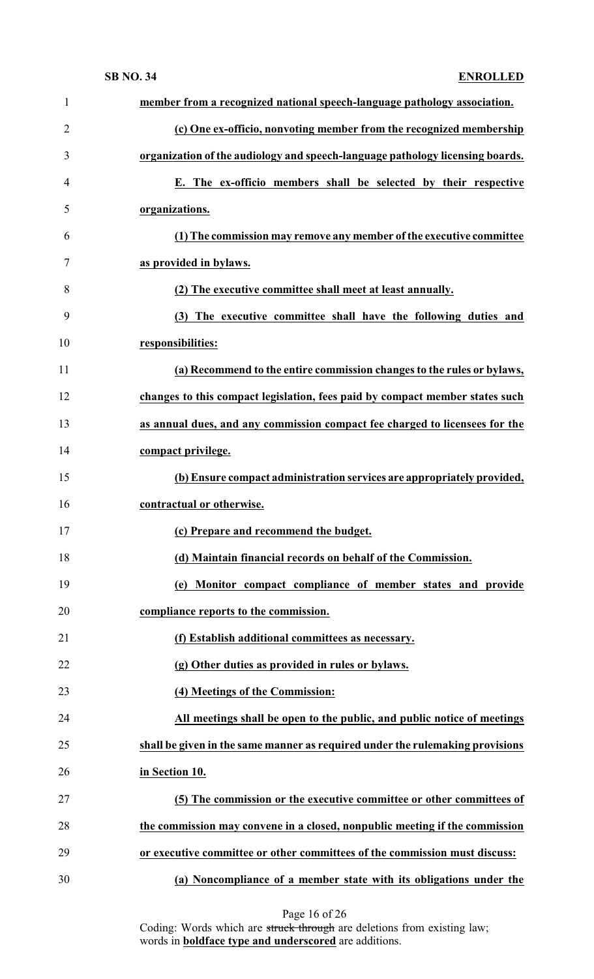| $\mathbf{1}$   | member from a recognized national speech-language pathology association.      |
|----------------|-------------------------------------------------------------------------------|
| $\overline{2}$ | (c) One ex-officio, nonvoting member from the recognized membership           |
| 3              | organization of the audiology and speech-language pathology licensing boards. |
| 4              | E. The ex-officio members shall be selected by their respective               |
| 5              | organizations.                                                                |
| 6              | (1) The commission may remove any member of the executive committee           |
| 7              | as provided in bylaws.                                                        |
| 8              | (2) The executive committee shall meet at least annually.                     |
| 9              | (3) The executive committee shall have the following duties and               |
| 10             | responsibilities:                                                             |
| 11             | (a) Recommend to the entire commission changes to the rules or bylaws,        |
| 12             | changes to this compact legislation, fees paid by compact member states such  |
| 13             | as annual dues, and any commission compact fee charged to licensees for the   |
| 14             | compact privilege.                                                            |
| 15             | (b) Ensure compact administration services are appropriately provided,        |
| 16             | contractual or otherwise.                                                     |
| 17             | (c) Prepare and recommend the budget.                                         |
| 18             | (d) Maintain financial records on behalf of the Commission.                   |
| 19             | (e) Monitor compact compliance of member states and provide                   |
|                | compliance reports to the commission.                                         |
| 20             |                                                                               |
| 21             | (f) Establish additional committees as necessary.                             |
| 22             | (g) Other duties as provided in rules or bylaws.                              |
| 23             | (4) Meetings of the Commission:                                               |
| 24             | All meetings shall be open to the public, and public notice of meetings       |
| 25             | shall be given in the same manner as required under the rulemaking provisions |
| 26             | in Section 10.                                                                |
| 27             | (5) The commission or the executive committee or other committees of          |
| 28             | the commission may convene in a closed, nonpublic meeting if the commission   |
| 29             | or executive committee or other committees of the commission must discuss:    |

Page 16 of 26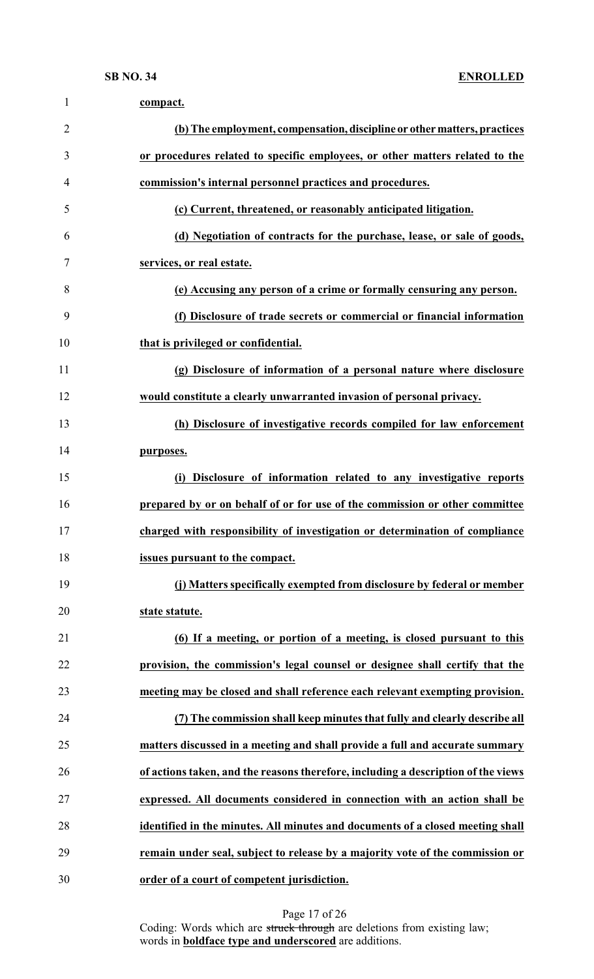| $\mathbf{1}$   | compact.                                                                          |
|----------------|-----------------------------------------------------------------------------------|
| $\overline{2}$ | (b) The employment, compensation, discipline or other matters, practices          |
| 3              | or procedures related to specific employees, or other matters related to the      |
| 4              | commission's internal personnel practices and procedures.                         |
| 5              | (c) Current, threatened, or reasonably anticipated litigation.                    |
| 6              | (d) Negotiation of contracts for the purchase, lease, or sale of goods,           |
| 7              | services, or real estate.                                                         |
| 8              | (e) Accusing any person of a crime or formally censuring any person.              |
| 9              | (f) Disclosure of trade secrets or commercial or financial information            |
| 10             | that is privileged or confidential.                                               |
| 11             | (g) Disclosure of information of a personal nature where disclosure               |
| 12             | would constitute a clearly unwarranted invasion of personal privacy.              |
| 13             | (h) Disclosure of investigative records compiled for law enforcement              |
| 14             | purposes.                                                                         |
| 15             | Disclosure of information related to any investigative reports<br>(i)             |
| 16             | prepared by or on behalf of or for use of the commission or other committee       |
| 17             | charged with responsibility of investigation or determination of compliance       |
| 18             | issues pursuant to the compact.                                                   |
| 19             | (j) Matters specifically exempted from disclosure by federal or member            |
| 20             | state statute.                                                                    |
| 21             | (6) If a meeting, or portion of a meeting, is closed pursuant to this             |
| 22             | provision, the commission's legal counsel or designee shall certify that the      |
| 23             | meeting may be closed and shall reference each relevant exempting provision.      |
| 24             | (7) The commission shall keep minutes that fully and clearly describe all         |
| 25             | matters discussed in a meeting and shall provide a full and accurate summary      |
| 26             | of actions taken, and the reasons therefore, including a description of the views |
| 27             | expressed. All documents considered in connection with an action shall be         |
| 28             | identified in the minutes. All minutes and documents of a closed meeting shall    |
| 29             | remain under seal, subject to release by a majority vote of the commission or     |
| 30             | order of a court of competent jurisdiction.                                       |

Page 17 of 26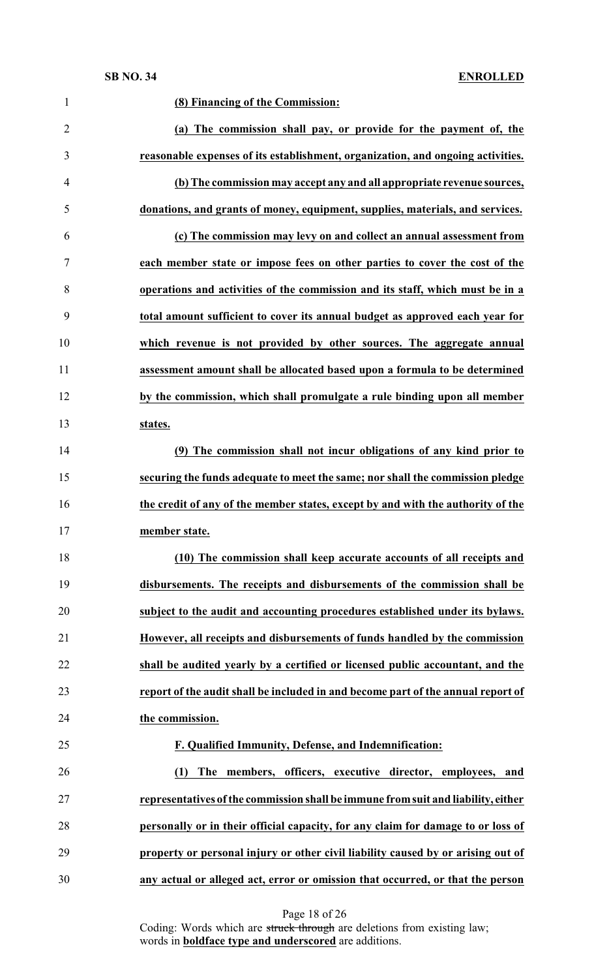| $\mathbf{1}$   | (8) Financing of the Commission:                                                  |
|----------------|-----------------------------------------------------------------------------------|
| $\overline{2}$ | (a) The commission shall pay, or provide for the payment of, the                  |
| 3              | reasonable expenses of its establishment, organization, and ongoing activities.   |
| 4              | (b) The commission may accept any and all appropriate revenue sources,            |
| 5              | donations, and grants of money, equipment, supplies, materials, and services.     |
| 6              | (c) The commission may levy on and collect an annual assessment from              |
| 7              | each member state or impose fees on other parties to cover the cost of the        |
| 8              | operations and activities of the commission and its staff, which must be in a     |
| 9              | total amount sufficient to cover its annual budget as approved each year for      |
| 10             | which revenue is not provided by other sources. The aggregate annual              |
| 11             | assessment amount shall be allocated based upon a formula to be determined        |
| 12             | by the commission, which shall promulgate a rule binding upon all member          |
| 13             | states.                                                                           |
| 14             | (9) The commission shall not incur obligations of any kind prior to               |
| 15             | securing the funds adequate to meet the same; nor shall the commission pledge     |
| 16             | the credit of any of the member states, except by and with the authority of the   |
| 17             | member state.                                                                     |
| 18             | (10) The commission shall keep accurate accounts of all receipts and              |
| 19             | disbursements. The receipts and disbursements of the commission shall be          |
| 20             | subject to the audit and accounting procedures established under its bylaws.      |
| 21             | However, all receipts and disbursements of funds handled by the commission        |
| 22             | shall be audited yearly by a certified or licensed public accountant, and the     |
| 23             | report of the audit shall be included in and become part of the annual report of  |
| 24             | the commission.                                                                   |
| 25             | F. Qualified Immunity, Defense, and Indemnification:                              |
| 26             | The members, officers, executive director, employees, and<br>(1)                  |
| 27             | representatives of the commission shall be immune from suit and liability, either |
| 28             | personally or in their official capacity, for any claim for damage to or loss of  |
| 29             | property or personal injury or other civil liability caused by or arising out of  |
| 30             | any actual or alleged act, error or omission that occurred, or that the person    |

Page 18 of 26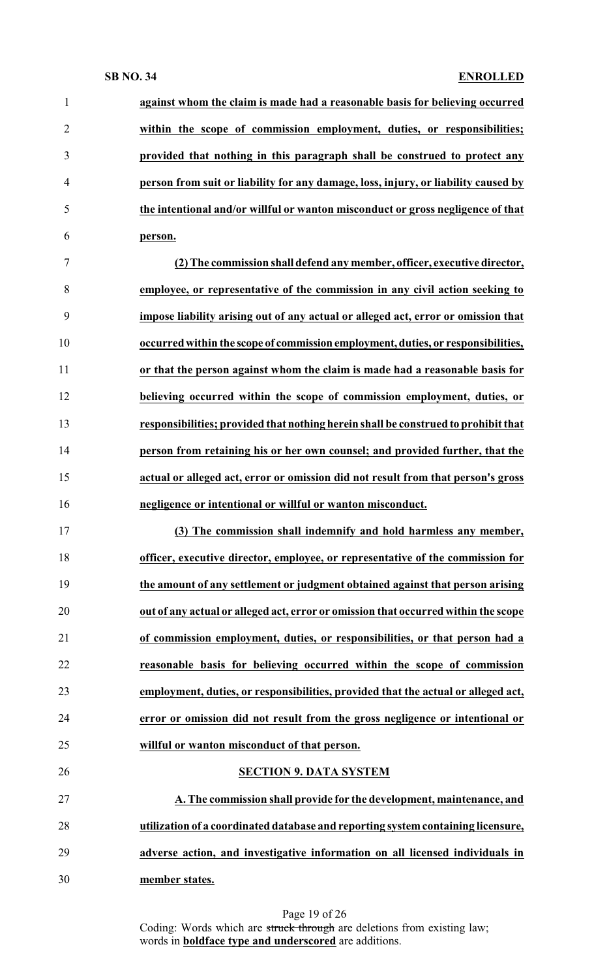| $\mathbf{1}$   | against whom the claim is made had a reasonable basis for believing occurred       |
|----------------|------------------------------------------------------------------------------------|
| $\overline{2}$ | within the scope of commission employment, duties, or responsibilities;            |
| 3              | provided that nothing in this paragraph shall be construed to protect any          |
| $\overline{4}$ | person from suit or liability for any damage, loss, injury, or liability caused by |
| 5              | the intentional and/or willful or wanton misconduct or gross negligence of that    |
| 6              | person.                                                                            |
| $\tau$         | (2) The commission shall defend any member, officer, executive director,           |
| 8              | employee, or representative of the commission in any civil action seeking to       |
| 9              | impose liability arising out of any actual or alleged act, error or omission that  |
| 10             | occurred within the scope of commission employment, duties, or responsibilities,   |
| 11             | or that the person against whom the claim is made had a reasonable basis for       |
| 12             | believing occurred within the scope of commission employment, duties, or           |
| 13             | responsibilities; provided that nothing herein shall be construed to prohibit that |
| 14             | person from retaining his or her own counsel; and provided further, that the       |
| 15             | actual or alleged act, error or omission did not result from that person's gross   |
| 16             | negligence or intentional or willful or wanton misconduct.                         |
| 17             | (3) The commission shall indemnify and hold harmless any member,                   |
| 18             | officer, executive director, employee, or representative of the commission for     |
| 19             | the amount of any settlement or judgment obtained against that person arising      |
| 20             | out of any actual or alleged act, error or omission that occurred within the scope |
| 21             | of commission employment, duties, or responsibilities, or that person had a        |
| 22             | reasonable basis for believing occurred within the scope of commission             |
| 23             | employment, duties, or responsibilities, provided that the actual or alleged act,  |
| 24             | error or omission did not result from the gross negligence or intentional or       |
| 25             | willful or wanton misconduct of that person.                                       |
| 26             | <b>SECTION 9. DATA SYSTEM</b>                                                      |
| 27             | A. The commission shall provide for the development, maintenance, and              |
| 28             | utilization of a coordinated database and reporting system containing licensure,   |
| 29             | adverse action, and investigative information on all licensed individuals in       |
| 30             | member states.                                                                     |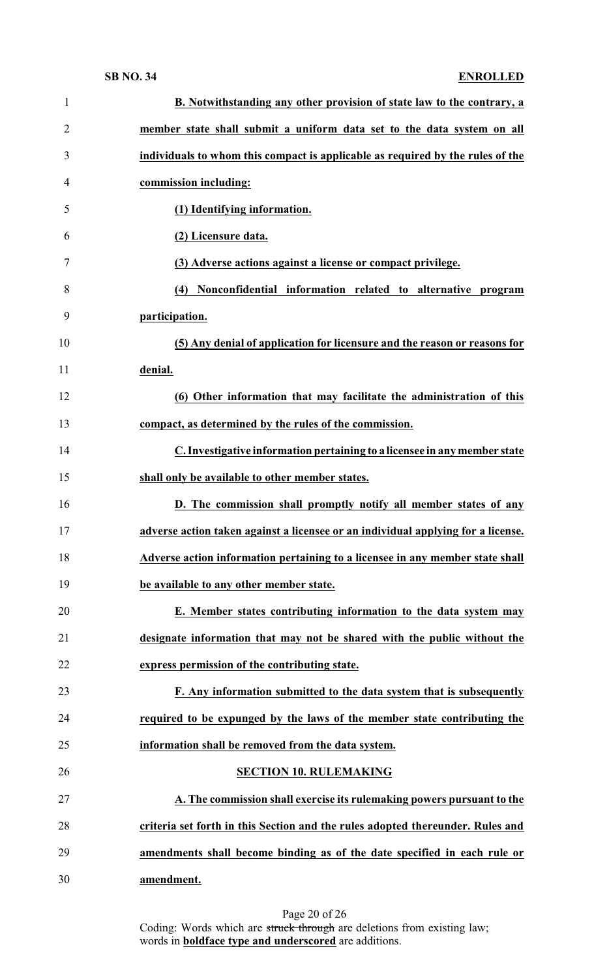| $\mathbf{1}$   | B. Notwithstanding any other provision of state law to the contrary, a           |
|----------------|----------------------------------------------------------------------------------|
| $\overline{2}$ | member state shall submit a uniform data set to the data system on all           |
| 3              | individuals to whom this compact is applicable as required by the rules of the   |
| 4              | commission including:                                                            |
| 5              | (1) Identifying information.                                                     |
| 6              | (2) Licensure data.                                                              |
| 7              | (3) Adverse actions against a license or compact privilege.                      |
| 8              | (4) Nonconfidential information related to alternative program                   |
| 9              | participation.                                                                   |
| 10             | (5) Any denial of application for licensure and the reason or reasons for        |
| 11             | denial.                                                                          |
| 12             | (6) Other information that may facilitate the administration of this             |
| 13             | compact, as determined by the rules of the commission.                           |
| 14             | C. Investigative information pertaining to a licensee in any member state        |
| 15             | shall only be available to other member states.                                  |
| 16             | D. The commission shall promptly notify all member states of any                 |
| 17             | adverse action taken against a licensee or an individual applying for a license. |
| 18             | Adverse action information pertaining to a licensee in any member state shall    |
| 19             | be available to any other member state.                                          |
| 20             | E. Member states contributing information to the data system may                 |
| 21             | designate information that may not be shared with the public without the         |
| 22             | express permission of the contributing state.                                    |
| 23             | F. Any information submitted to the data system that is subsequently             |
| 24             | required to be expunged by the laws of the member state contributing the         |
| 25             | information shall be removed from the data system.                               |
| 26             | <b>SECTION 10. RULEMAKING</b>                                                    |
| 27             | A. The commission shall exercise its rulemaking powers pursuant to the           |
| 28             | criteria set forth in this Section and the rules adopted thereunder. Rules and   |
| 29             | amendments shall become binding as of the date specified in each rule or         |
| 30             | amendment.                                                                       |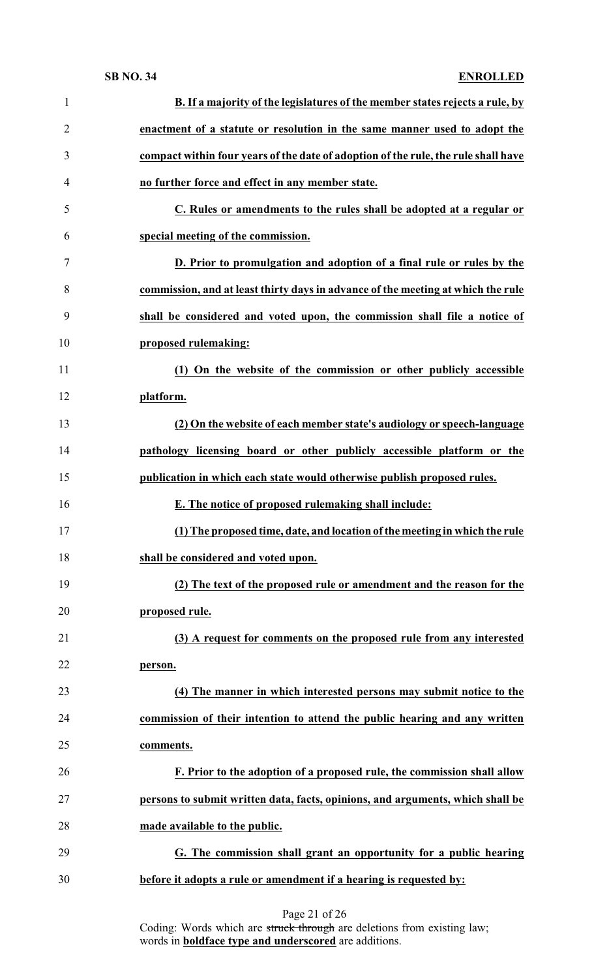| 1              | <b>B.</b> If a majority of the legislatures of the member states rejects a rule, by |
|----------------|-------------------------------------------------------------------------------------|
| $\overline{2}$ | enactment of a statute or resolution in the same manner used to adopt the           |
| 3              | compact within four years of the date of adoption of the rule, the rule shall have  |
| 4              | no further force and effect in any member state.                                    |
| 5              | C. Rules or amendments to the rules shall be adopted at a regular or                |
| 6              | special meeting of the commission.                                                  |
| 7              | D. Prior to promulgation and adoption of a final rule or rules by the               |
| 8              | commission, and at least thirty days in advance of the meeting at which the rule    |
| 9              | shall be considered and voted upon, the commission shall file a notice of           |
| 10             | proposed rulemaking:                                                                |
| 11             | (1) On the website of the commission or other publicly accessible                   |
| 12             | platform.                                                                           |
| 13             | (2) On the website of each member state's audiology or speech-language              |
| 14             | pathology licensing board or other publicly accessible platform or the              |
| 15             | publication in which each state would otherwise publish proposed rules.             |
| 16             | E. The notice of proposed rulemaking shall include:                                 |
| 17             | (1) The proposed time, date, and location of the meeting in which the rule          |
| 18             | shall be considered and voted upon.                                                 |
| 19             | (2) The text of the proposed rule or amendment and the reason for the               |
| 20             | proposed rule.                                                                      |
| 21             | (3) A request for comments on the proposed rule from any interested                 |
| 22             | person.                                                                             |
| 23             | (4) The manner in which interested persons may submit notice to the                 |
| 24             | commission of their intention to attend the public hearing and any written          |
| 25             | comments.                                                                           |
| 26             | F. Prior to the adoption of a proposed rule, the commission shall allow             |
| 27             | persons to submit written data, facts, opinions, and arguments, which shall be      |
| 28             | made available to the public.                                                       |
| 29             | G. The commission shall grant an opportunity for a public hearing                   |
| 30             | before it adopts a rule or amendment if a hearing is requested by:                  |
|                |                                                                                     |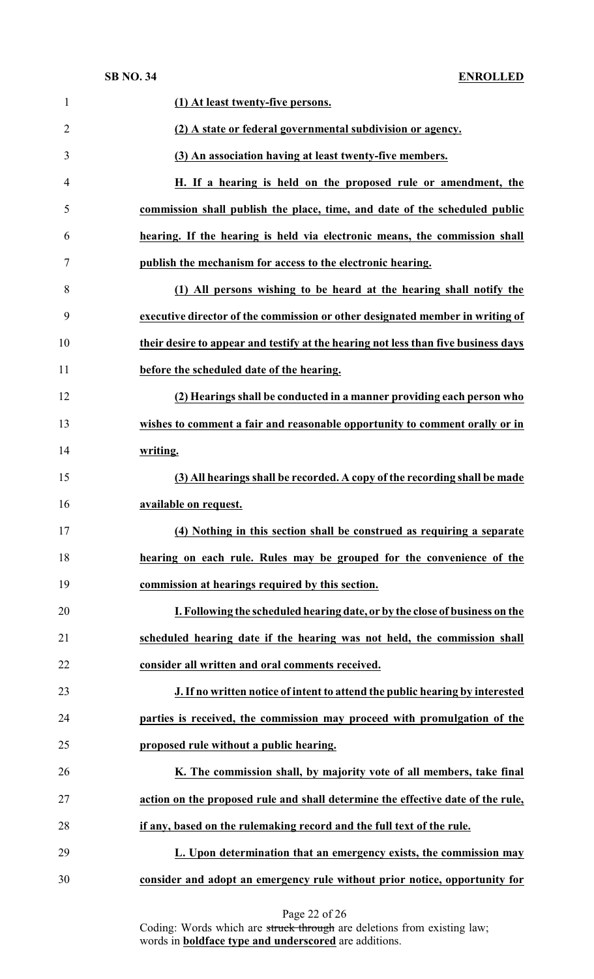| $\mathbf{1}$   | (1) At least twenty-five persons.                                                  |
|----------------|------------------------------------------------------------------------------------|
| $\overline{2}$ | (2) A state or federal governmental subdivision or agency.                         |
| 3              | (3) An association having at least twenty-five members.                            |
| 4              | H. If a hearing is held on the proposed rule or amendment, the                     |
| 5              | commission shall publish the place, time, and date of the scheduled public         |
| 6              | hearing. If the hearing is held via electronic means, the commission shall         |
| 7              | publish the mechanism for access to the electronic hearing.                        |
| 8              | (1) All persons wishing to be heard at the hearing shall notify the                |
| 9              | executive director of the commission or other designated member in writing of      |
| 10             | their desire to appear and testify at the hearing not less than five business days |
| 11             | before the scheduled date of the hearing.                                          |
| 12             | (2) Hearings shall be conducted in a manner providing each person who              |
| 13             | wishes to comment a fair and reasonable opportunity to comment orally or in        |
| 14             | writing.                                                                           |
| 15             | (3) All hearings shall be recorded. A copy of the recording shall be made          |
| 16             | available on request.                                                              |
| 17             | (4) Nothing in this section shall be construed as requiring a separate             |
| 18             | hearing on each rule. Rules may be grouped for the convenience of the              |
| 19             | commission at hearings required by this section.                                   |
| 20             | I. Following the scheduled hearing date, or by the close of business on the        |
| 21             | scheduled hearing date if the hearing was not held, the commission shall           |
| 22             | consider all written and oral comments received.                                   |
| 23             | J. If no written notice of intent to attend the public hearing by interested       |
| 24             | parties is received, the commission may proceed with promulgation of the           |
| 25             | proposed rule without a public hearing.                                            |
| 26             | K. The commission shall, by majority vote of all members, take final               |
| 27             | action on the proposed rule and shall determine the effective date of the rule,    |
| 28             | if any, based on the rulemaking record and the full text of the rule.              |
| 29             | L. Upon determination that an emergency exists, the commission may                 |
| 30             | consider and adopt an emergency rule without prior notice, opportunity for         |
|                |                                                                                    |

Page 22 of 26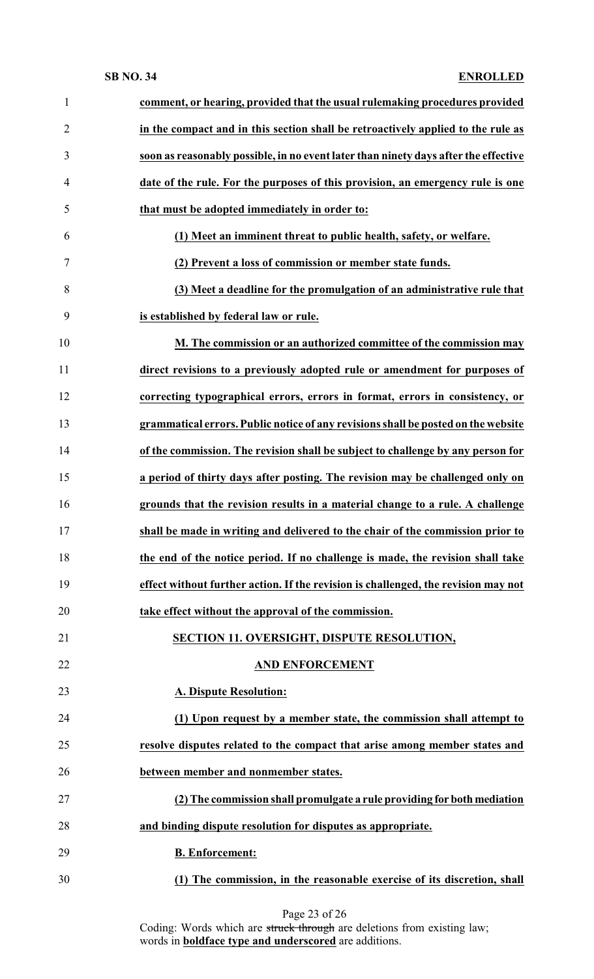| $\mathbf{1}$   | comment, or hearing, provided that the usual rulemaking procedures provided         |
|----------------|-------------------------------------------------------------------------------------|
| $\overline{2}$ | in the compact and in this section shall be retroactively applied to the rule as    |
| 3              | soon as reasonably possible, in no event later than ninety days after the effective |
| 4              | date of the rule. For the purposes of this provision, an emergency rule is one      |
| 5              | that must be adopted immediately in order to:                                       |
| 6              | (1) Meet an imminent threat to public health, safety, or welfare.                   |
| $\tau$         | (2) Prevent a loss of commission or member state funds.                             |
| 8              | (3) Meet a deadline for the promulgation of an administrative rule that             |
| 9              | is established by federal law or rule.                                              |
| 10             | M. The commission or an authorized committee of the commission may                  |
| 11             | direct revisions to a previously adopted rule or amendment for purposes of          |
| 12             | correcting typographical errors, errors in format, errors in consistency, or        |
| 13             | grammatical errors. Public notice of any revisions shall be posted on the website   |
| 14             | of the commission. The revision shall be subject to challenge by any person for     |
| 15             | a period of thirty days after posting. The revision may be challenged only on       |
| 16             | grounds that the revision results in a material change to a rule. A challenge       |
| 17             | shall be made in writing and delivered to the chair of the commission prior to      |
| 18             | the end of the notice period. If no challenge is made, the revision shall take      |
| 19             | effect without further action. If the revision is challenged, the revision may not  |
| 20             | take effect without the approval of the commission.                                 |
| 21             | <b>SECTION 11. OVERSIGHT, DISPUTE RESOLUTION,</b>                                   |
| 22             | <b>AND ENFORCEMENT</b>                                                              |
| 23             | <b>A. Dispute Resolution:</b>                                                       |
| 24             | (1) Upon request by a member state, the commission shall attempt to                 |
| 25             | resolve disputes related to the compact that arise among member states and          |
| 26             | between member and nonmember states.                                                |
| 27             | (2) The commission shall promulgate a rule providing for both mediation             |
| 28             | and binding dispute resolution for disputes as appropriate.                         |
| 29             | <b>B.</b> Enforcement:                                                              |
| 30             | (1) The commission, in the reasonable exercise of its discretion, shall             |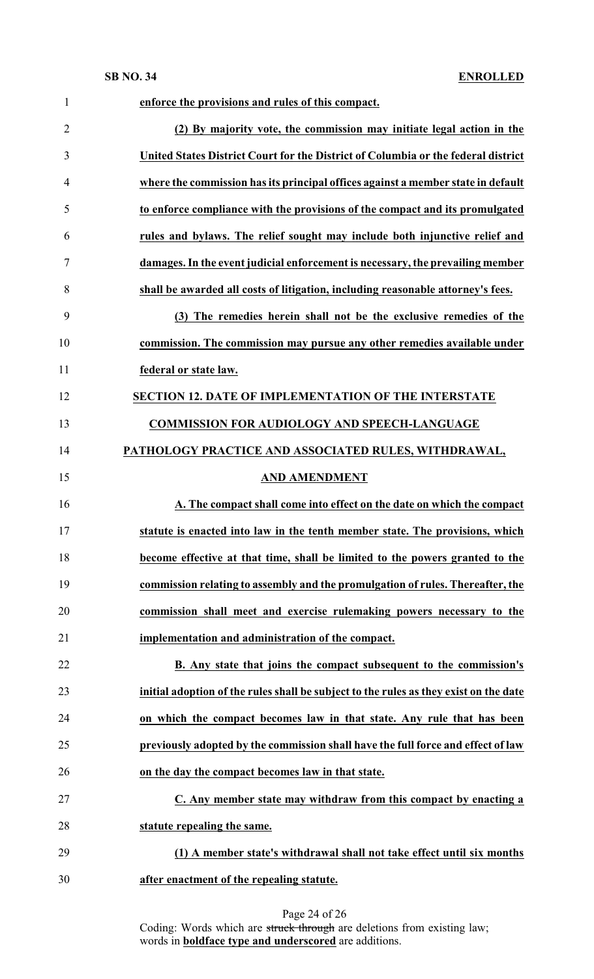| $\mathbf{1}$   | enforce the provisions and rules of this compact.                                     |
|----------------|---------------------------------------------------------------------------------------|
| $\overline{2}$ | (2) By majority vote, the commission may initiate legal action in the                 |
| 3              | United States District Court for the District of Columbia or the federal district     |
| $\overline{4}$ | where the commission has its principal offices against a member state in default      |
| 5              | to enforce compliance with the provisions of the compact and its promulgated          |
| 6              | rules and bylaws. The relief sought may include both injunctive relief and            |
| 7              | damages. In the event judicial enforcement is necessary, the prevailing member        |
| 8              | shall be awarded all costs of litigation, including reasonable attorney's fees.       |
| 9              | (3) The remedies herein shall not be the exclusive remedies of the                    |
| 10             | commission. The commission may pursue any other remedies available under              |
| 11             | federal or state law.                                                                 |
| 12             | <b>SECTION 12. DATE OF IMPLEMENTATION OF THE INTERSTATE</b>                           |
| 13             | <b>COMMISSION FOR AUDIOLOGY AND SPEECH-LANGUAGE</b>                                   |
| 14             | PATHOLOGY PRACTICE AND ASSOCIATED RULES, WITHDRAWAL,                                  |
| 15             | <b>AND AMENDMENT</b>                                                                  |
| 16             | A. The compact shall come into effect on the date on which the compact                |
| 17             | statute is enacted into law in the tenth member state. The provisions, which          |
| 18             | become effective at that time, shall be limited to the powers granted to the          |
| 19             | commission relating to assembly and the promulgation of rules. Thereafter, the        |
| 20             | commission shall meet and exercise rulemaking powers necessary to the                 |
| 21             | implementation and administration of the compact.                                     |
| 22             | B. Any state that joins the compact subsequent to the commission's                    |
| 23             | initial adoption of the rules shall be subject to the rules as they exist on the date |
| 24             | on which the compact becomes law in that state. Any rule that has been                |
| 25             | previously adopted by the commission shall have the full force and effect of law      |
| 26             | on the day the compact becomes law in that state.                                     |
| 27             | C. Any member state may withdraw from this compact by enacting a                      |
| 28             | statute repealing the same.                                                           |
| 29             | (1) A member state's withdrawal shall not take effect until six months                |
| 30             | after enactment of the repealing statute.                                             |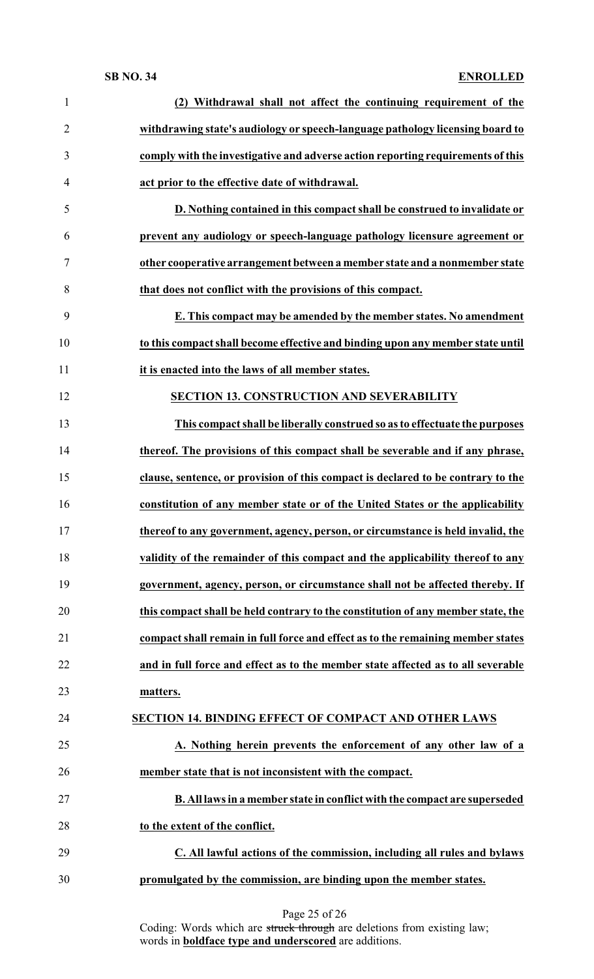| $\mathbf{1}$   | (2) Withdrawal shall not affect the continuing requirement of the                |
|----------------|----------------------------------------------------------------------------------|
| $\overline{2}$ | withdrawing state's audiology or speech-language pathology licensing board to    |
| 3              | comply with the investigative and adverse action reporting requirements of this  |
| 4              | act prior to the effective date of withdrawal.                                   |
| 5              | D. Nothing contained in this compact shall be construed to invalidate or         |
| 6              | prevent any audiology or speech-language pathology licensure agreement or        |
| $\tau$         | other cooperative arrangement between a member state and a nonmember state       |
| 8              | that does not conflict with the provisions of this compact.                      |
| 9              | E. This compact may be amended by the member states. No amendment                |
| 10             | to this compact shall become effective and binding upon any member state until   |
| 11             | it is enacted into the laws of all member states.                                |
| 12             | <b>SECTION 13. CONSTRUCTION AND SEVERABILITY</b>                                 |
| 13             | This compact shall be liberally construed so as to effectuate the purposes       |
| 14             | thereof. The provisions of this compact shall be severable and if any phrase,    |
| 15             | clause, sentence, or provision of this compact is declared to be contrary to the |
| 16             | constitution of any member state or of the United States or the applicability    |
| 17             | thereof to any government, agency, person, or circumstance is held invalid, the  |
| 18             | validity of the remainder of this compact and the applicability thereof to any   |
| 19             | government, agency, person, or circumstance shall not be affected thereby. If    |
| 20             | this compact shall be held contrary to the constitution of any member state, the |
| 21             | compact shall remain in full force and effect as to the remaining member states  |
| 22             | and in full force and effect as to the member state affected as to all severable |
| 23             | matters.                                                                         |
| 24             | <b>SECTION 14. BINDING EFFECT OF COMPACT AND OTHER LAWS</b>                      |
| 25             | A. Nothing herein prevents the enforcement of any other law of a                 |
| 26             | member state that is not inconsistent with the compact.                          |
| 27             | B. All laws in a member state in conflict with the compact are superseded        |
| 28             | to the extent of the conflict.                                                   |
| 29             | C. All lawful actions of the commission, including all rules and bylaws          |
| 30             | promulgated by the commission, are binding upon the member states.               |
|                |                                                                                  |